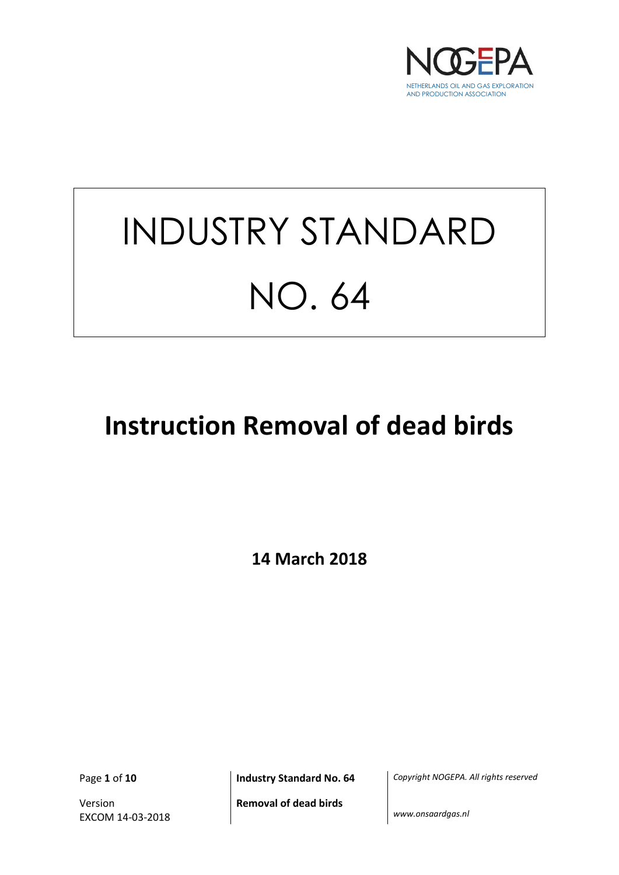

# INDUSTRY STANDARD NO. 64

# **Instruction Removal of dead birds**

**14 March 2018**

Version EXCOM 14-03-2018

Page **1** of **10 Industry Standard No. 64** *Copyright NOGEPA. All rights reserved*

**Removal of dead birds**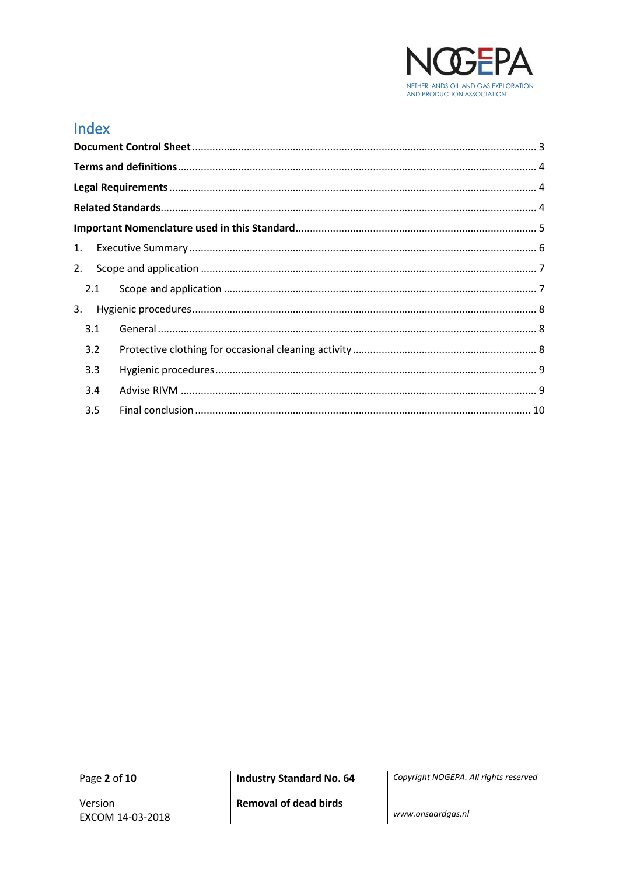

# Index

| 1. |     |  |
|----|-----|--|
| 2. |     |  |
|    | 2.1 |  |
| 3. |     |  |
|    | 3.1 |  |
|    | 3.2 |  |
|    | 3.3 |  |
|    | 3.4 |  |
|    | 3.5 |  |

Page 2 of 10

**Industry Standard No. 64** 

Copyright NOGEPA. All rights reserved

**Removal of dead birds**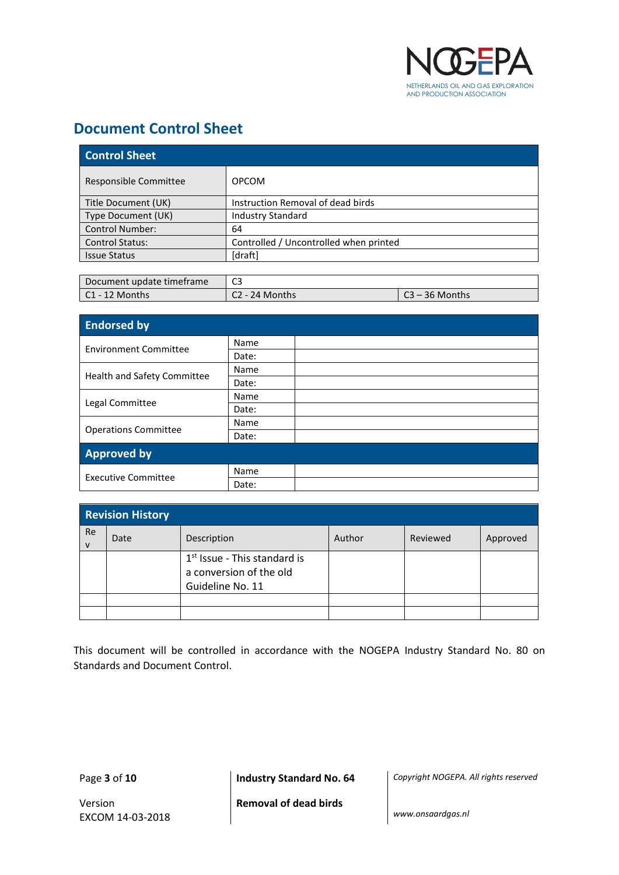

#### <span id="page-2-0"></span>**Document Control Sheet**

| <b>Control Sheet</b>   |                                        |  |
|------------------------|----------------------------------------|--|
| Responsible Committee  | <b>OPCOM</b>                           |  |
| Title Document (UK)    | Instruction Removal of dead birds      |  |
| Type Document (UK)     | <b>Industry Standard</b>               |  |
| <b>Control Number:</b> | 64                                     |  |
| <b>Control Status:</b> | Controlled / Uncontrolled when printed |  |
| <b>Issue Status</b>    | [draft]                                |  |

| Document update timeframe | C3             |               |
|---------------------------|----------------|---------------|
| l C1 - 12 Months          | C2 - 24 Months | ิ - 36 Months |

| <b>Endorsed by</b>           |       |  |
|------------------------------|-------|--|
| <b>Environment Committee</b> | Name  |  |
|                              | Date: |  |
|                              | Name  |  |
| Health and Safety Committee  | Date: |  |
|                              | Name  |  |
| Legal Committee              | Date: |  |
|                              | Name  |  |
| <b>Operations Committee</b>  | Date: |  |
| <b>Approved by</b>           |       |  |
|                              | Name  |  |
| <b>Executive Committee</b>   | Date: |  |

| <b>Revision History</b> |      |                                                                               |        |          |          |
|-------------------------|------|-------------------------------------------------------------------------------|--------|----------|----------|
| Re<br>$\mathsf{v}$      | Date | Description                                                                   | Author | Reviewed | Approved |
|                         |      | $1st$ Issue - This standard is<br>a conversion of the old<br>Guideline No. 11 |        |          |          |
|                         |      |                                                                               |        |          |          |
|                         |      |                                                                               |        |          |          |

This document will be controlled in accordance with the NOGEPA Industry Standard No. 80 on Standards and Document Control.

Version EXCOM 14-03-2018

Page **3** of **10 Industry Standard No. 64** *Copyright NOGEPA. All rights reserved*

**Removal of dead birds**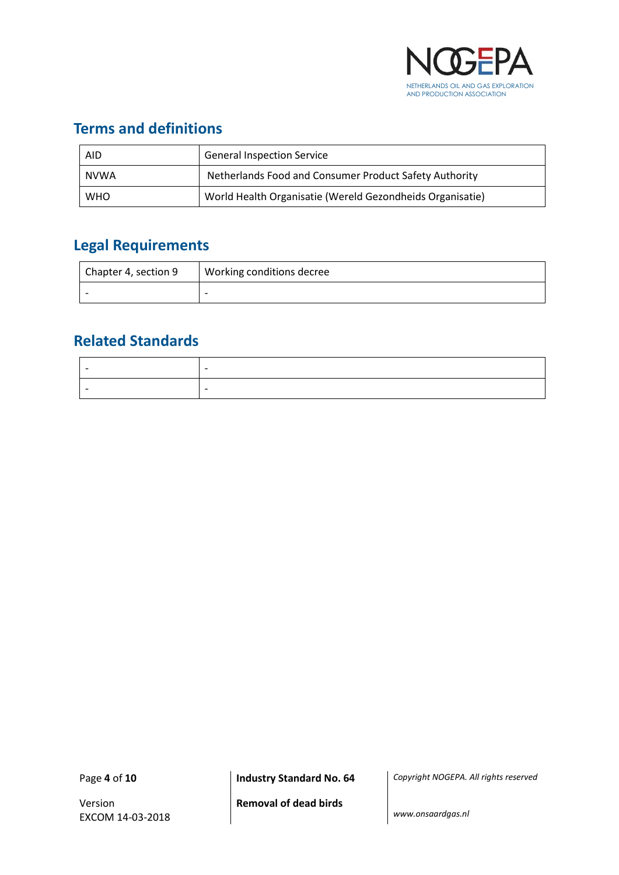

# <span id="page-3-0"></span>**Terms and definitions**

| <b>AID</b> | <b>General Inspection Service</b>                         |
|------------|-----------------------------------------------------------|
| NVWA       | Netherlands Food and Consumer Product Safety Authority    |
| <b>WHO</b> | World Health Organisatie (Wereld Gezondheids Organisatie) |

# <span id="page-3-1"></span>**Legal Requirements**

| Chapter 4, section 9 | Working conditions decree |
|----------------------|---------------------------|
|                      | $\overline{\phantom{0}}$  |

## <span id="page-3-2"></span>**Related Standards**

| $\overline{\phantom{0}}$ |  |
|--------------------------|--|
| $\overline{\phantom{0}}$ |  |

Version EXCOM 14-03-2018

Page **4** of **10 Industry Standard No. 64** *Copyright NOGEPA. All rights reserved*

**Removal of dead birds**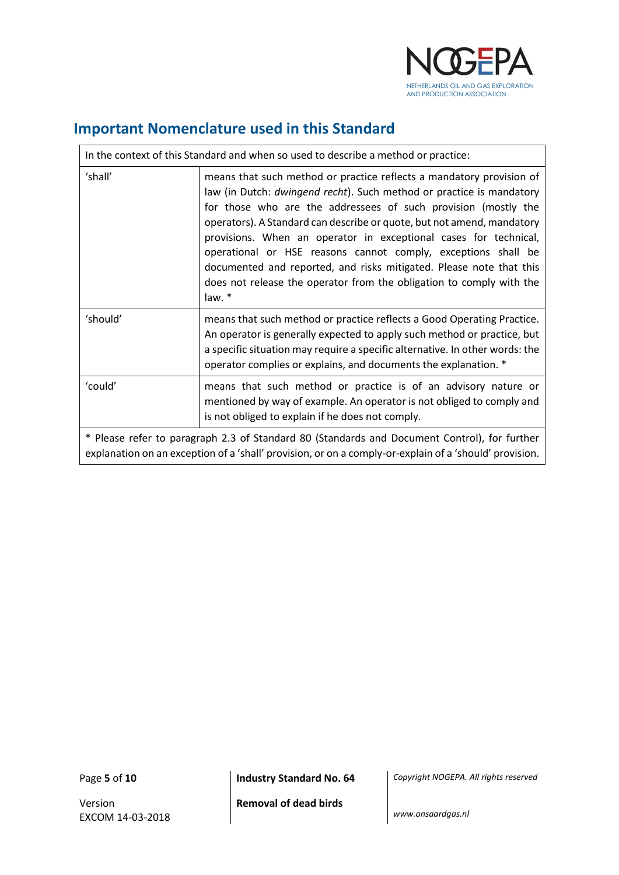

# <span id="page-4-0"></span>**Important Nomenclature used in this Standard**

| In the context of this Standard and when so used to describe a method or practice:                                                                                                                     |                                                                                                                                                                                                                                                                                                                                                                                                                                                                                                                                                                                        |  |
|--------------------------------------------------------------------------------------------------------------------------------------------------------------------------------------------------------|----------------------------------------------------------------------------------------------------------------------------------------------------------------------------------------------------------------------------------------------------------------------------------------------------------------------------------------------------------------------------------------------------------------------------------------------------------------------------------------------------------------------------------------------------------------------------------------|--|
| 'shall'                                                                                                                                                                                                | means that such method or practice reflects a mandatory provision of<br>law (in Dutch: dwingend recht). Such method or practice is mandatory<br>for those who are the addressees of such provision (mostly the<br>operators). A Standard can describe or quote, but not amend, mandatory<br>provisions. When an operator in exceptional cases for technical,<br>operational or HSE reasons cannot comply, exceptions shall be<br>documented and reported, and risks mitigated. Please note that this<br>does not release the operator from the obligation to comply with the<br>law. * |  |
| 'should'                                                                                                                                                                                               | means that such method or practice reflects a Good Operating Practice.<br>An operator is generally expected to apply such method or practice, but<br>a specific situation may require a specific alternative. In other words: the<br>operator complies or explains, and documents the explanation. *                                                                                                                                                                                                                                                                                   |  |
| 'could'                                                                                                                                                                                                | means that such method or practice is of an advisory nature or<br>mentioned by way of example. An operator is not obliged to comply and<br>is not obliged to explain if he does not comply.                                                                                                                                                                                                                                                                                                                                                                                            |  |
| * Please refer to paragraph 2.3 of Standard 80 (Standards and Document Control), for further<br>explanation on an exception of a 'shall' provision, or on a comply-or-explain of a 'should' provision. |                                                                                                                                                                                                                                                                                                                                                                                                                                                                                                                                                                                        |  |

 $\mathbf{r}$ 

Version EXCOM 14-03-2018

Page **5** of **10 Industry Standard No. 64** *Copyright NOGEPA. All rights reserved*

**Removal of dead birds**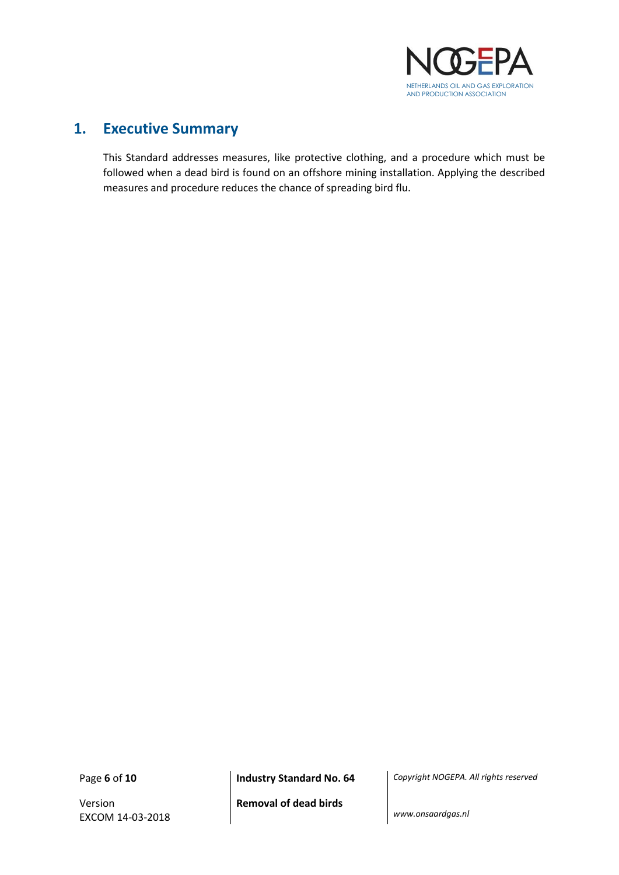

#### <span id="page-5-0"></span>**1. Executive Summary**

This Standard addresses measures, like protective clothing, and a procedure which must be followed when a dead bird is found on an offshore mining installation. Applying the described measures and procedure reduces the chance of spreading bird flu.

Version EXCOM 14-03-2018

Page **6** of **10 Industry Standard No. 64** *Copyright NOGEPA. All rights reserved*

**Removal of dead birds**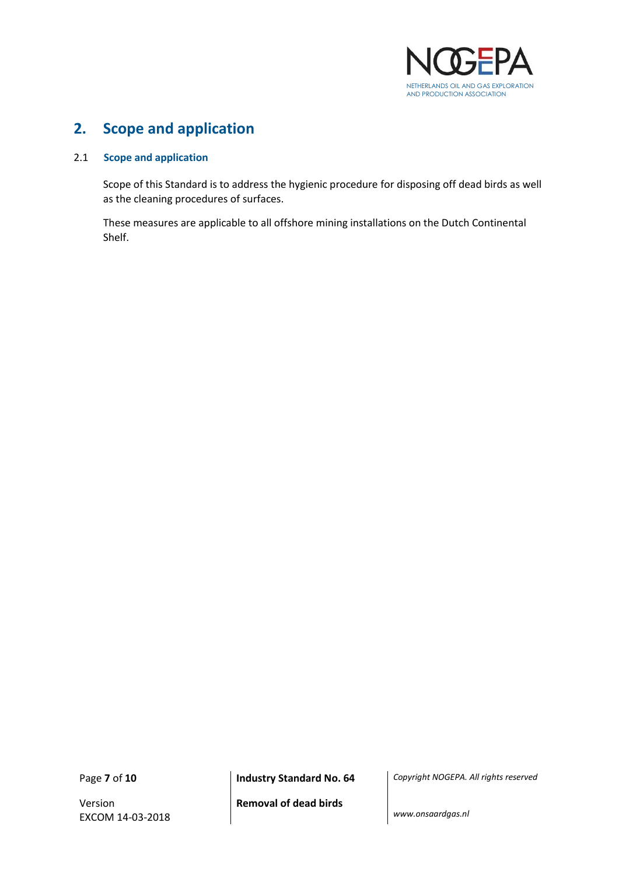

#### <span id="page-6-0"></span>**2. Scope and application**

#### <span id="page-6-1"></span>2.1 **Scope and application**

Scope of this Standard is to address the hygienic procedure for disposing off dead birds as well as the cleaning procedures of surfaces.

These measures are applicable to all offshore mining installations on the Dutch Continental Shelf.

Version EXCOM 14-03-2018

Page **7** of **10 Industry Standard No. 64** *Copyright NOGEPA. All rights reserved*

**Removal of dead birds**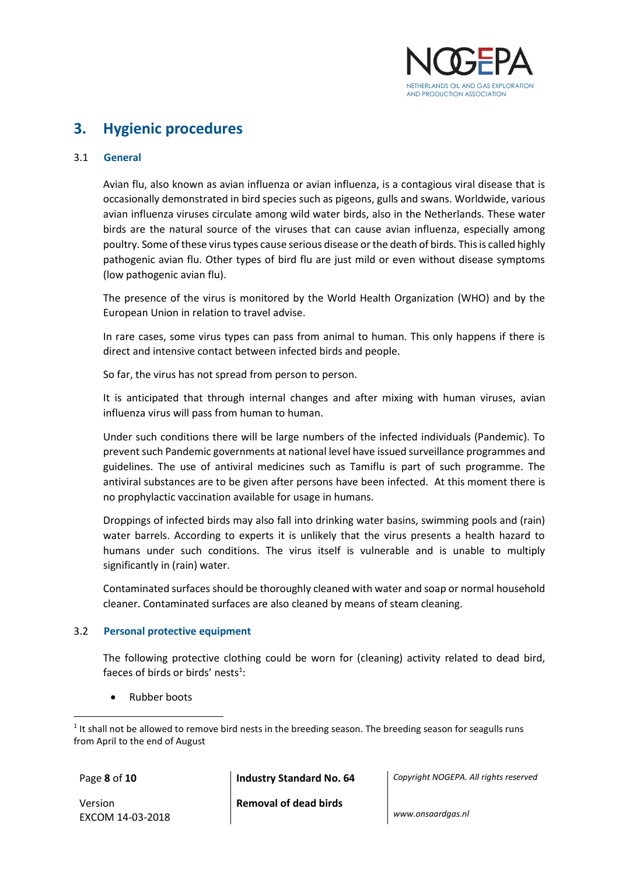

## <span id="page-7-0"></span>**3. Hygienic procedures**

#### <span id="page-7-1"></span>3.1 **General**

Avian flu, also known as avian influenza or avian influenza, is a contagious viral disease that is occasionally demonstrated in bird species such as pigeons, gulls and swans. Worldwide, various avian influenza viruses circulate among wild water birds, also in the Netherlands. These water birds are the natural source of the viruses that can cause avian influenza, especially among poultry. Some of these virus types cause serious disease orthe death of birds. This is called highly pathogenic avian flu. Other types of bird flu are just mild or even without disease symptoms (low pathogenic avian flu).

The presence of the virus is monitored by the World Health Organization (WHO) and by the European Union in relation to travel advise.

In rare cases, some virus types can pass from animal to human. This only happens if there is direct and intensive contact between infected birds and people.

So far, the virus has not spread from person to person.

It is anticipated that through internal changes and after mixing with human viruses, avian influenza virus will pass from human to human.

Under such conditions there will be large numbers of the infected individuals (Pandemic). To prevent such Pandemic governments at national level have issued surveillance programmes and guidelines. The use of antiviral medicines such as Tamiflu is part of such programme. The antiviral substances are to be given after persons have been infected. At this moment there is no prophylactic vaccination available for usage in humans.

Droppings of infected birds may also fall into drinking water basins, swimming pools and (rain) water barrels. According to experts it is unlikely that the virus presents a health hazard to humans under such conditions. The virus itself is vulnerable and is unable to multiply significantly in (rain) water.

Contaminated surfaces should be thoroughly cleaned with water and soap or normal household cleaner. Contaminated surfaces are also cleaned by means of steam cleaning.

#### <span id="page-7-2"></span>3.2 **Personal protective equipment**

The following protective clothing could be worn for (cleaning) activity related to dead bird, faeces of birds or birds' nests $1$ :

• Rubber boots

 $\overline{a}$ 

Version EXCOM 14-03-2018

Page **8** of **10 Industry Standard No. 64** *Copyright NOGEPA. All rights reserved*

**Removal of dead birds**

<sup>&</sup>lt;sup>1</sup> It shall not be allowed to remove bird nests in the breeding season. The breeding season for seagulls runs from April to the end of August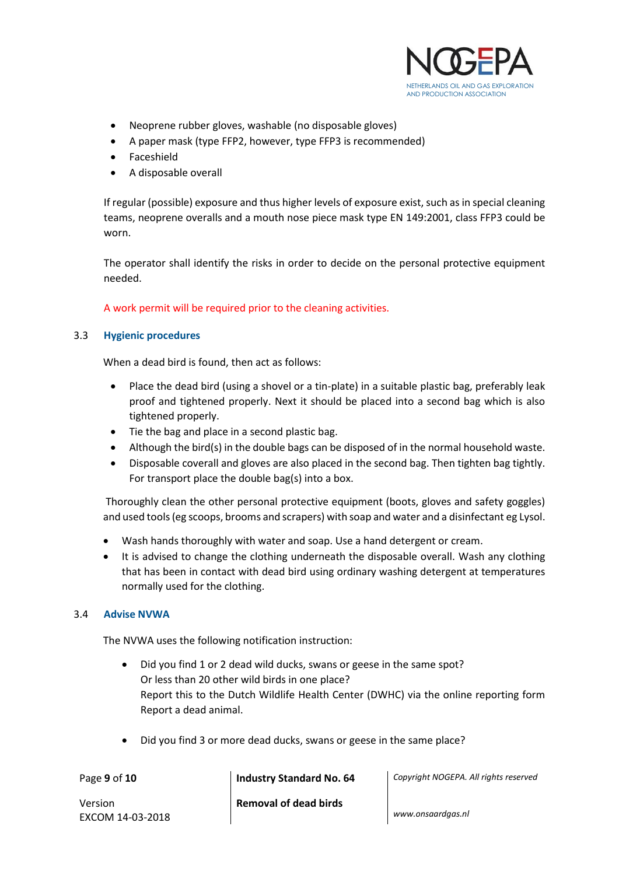

- Neoprene rubber gloves, washable (no disposable gloves)
- A paper mask (type FFP2, however, type FFP3 is recommended)
- Faceshield
- A disposable overall

If regular (possible) exposure and thus higher levels of exposure exist, such as in special cleaning teams, neoprene overalls and a mouth nose piece mask type EN 149:2001, class FFP3 could be worn.

The operator shall identify the risks in order to decide on the personal protective equipment needed.

A work permit will be required prior to the cleaning activities.

#### <span id="page-8-0"></span>3.3 **Hygienic procedures**

When a dead bird is found, then act as follows:

- Place the dead bird (using a shovel or a tin-plate) in a suitable plastic bag, preferably leak proof and tightened properly. Next it should be placed into a second bag which is also tightened properly.
- Tie the bag and place in a second plastic bag.
- Although the bird(s) in the double bags can be disposed of in the normal household waste.
- Disposable coverall and gloves are also placed in the second bag. Then tighten bag tightly. For transport place the double bag(s) into a box.

Thoroughly clean the other personal protective equipment (boots, gloves and safety goggles) and used tools (eg scoops, brooms and scrapers) with soap and water and a disinfectant eg Lysol.

- Wash hands thoroughly with water and soap. Use a hand detergent or cream.
- It is advised to change the clothing underneath the disposable overall. Wash any clothing that has been in contact with dead bird using ordinary washing detergent at temperatures normally used for the clothing.

#### <span id="page-8-1"></span>3.4 **Advise NVWA**

The NVWA uses the following notification instruction:

- Did you find 1 or 2 dead wild ducks, swans or geese in the same spot? Or less than 20 other wild birds in one place? Report this to the Dutch Wildlife Health Center (DWHC) via the online reporting form Report a dead animal.
- Did you find 3 or more dead ducks, swans or geese in the same place?

Page **9** of **10 Industry Standard No. 64** *Copyright NOGEPA. All rights reserved*

Version EXCOM 14-03-2018 **Removal of dead birds**